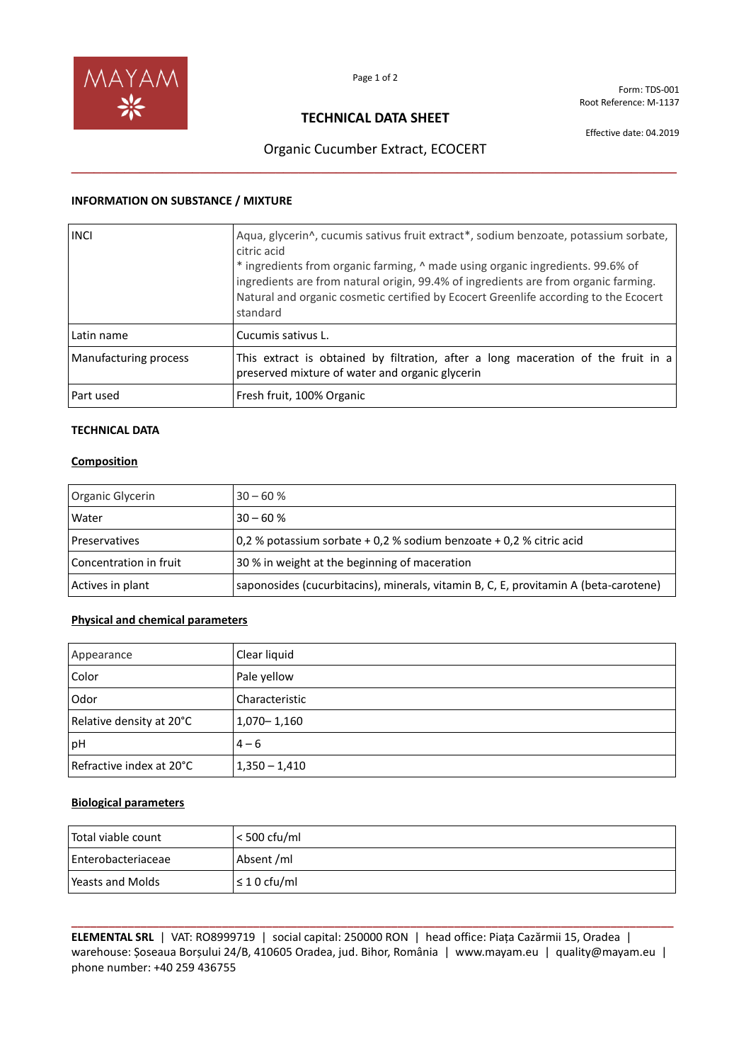

Form: TDS-001 Root Reference: M-1137

## **TECHNICAL DATA SHEET**

Effective date: 04.2019

# Organic Cucumber Extract, ECOCERT **\_\_\_\_\_\_\_\_\_\_\_\_\_\_\_\_\_\_\_\_\_\_\_\_\_\_\_\_\_\_\_\_\_\_\_\_\_\_\_\_\_\_\_\_\_\_\_\_\_\_\_\_\_\_\_\_\_\_\_\_\_\_\_\_\_\_\_\_\_\_\_\_\_\_\_\_\_\_\_\_**

### **INFORMATION ON SUBSTANCE / MIXTURE**

| <b>INCI</b>           | Aqua, glycerin^, cucumis sativus fruit extract*, sodium benzoate, potassium sorbate,<br>citric acid<br>* ingredients from organic farming, $\land$ made using organic ingredients. 99.6% of<br>ingredients are from natural origin, 99.4% of ingredients are from organic farming.<br>Natural and organic cosmetic certified by Ecocert Greenlife according to the Ecocert<br>standard |
|-----------------------|----------------------------------------------------------------------------------------------------------------------------------------------------------------------------------------------------------------------------------------------------------------------------------------------------------------------------------------------------------------------------------------|
| Latin name            | Cucumis sativus L.                                                                                                                                                                                                                                                                                                                                                                     |
| Manufacturing process | This extract is obtained by filtration, after a long maceration of the fruit in a<br>preserved mixture of water and organic glycerin                                                                                                                                                                                                                                                   |
| Part used             | Fresh fruit, 100% Organic                                                                                                                                                                                                                                                                                                                                                              |

## **TECHNICAL DATA**

### **Composition**

| Organic Glycerin       | $30 - 60%$                                                                           |
|------------------------|--------------------------------------------------------------------------------------|
| Water                  | $30 - 60%$                                                                           |
| <b>Preservatives</b>   | $0.2$ % potassium sorbate + 0,2 % sodium benzoate + 0,2 % citric acid                |
| Concentration in fruit | 30 % in weight at the beginning of maceration                                        |
| Actives in plant       | saponosides (cucurbitacins), minerals, vitamin B, C, E, provitamin A (beta-carotene) |

### **Physical and chemical parameters**

| Appearance               | Clear liquid    |
|--------------------------|-----------------|
| Color                    | Pale yellow     |
| Odor                     | Characteristic  |
| Relative density at 20°C | $1,070 - 1,160$ |
| pH                       | $4 - 6$         |
| Refractive index at 20°C | $1,350 - 1,410$ |

#### **Biological parameters**

| l Total viable count | $<$ 500 cfu/ml   |
|----------------------|------------------|
| Enterobacteriaceae   | Absent /ml       |
| l Yeasts and Molds   | $\leq 10$ cfu/ml |

**\_\_\_\_\_\_\_\_\_\_\_\_\_\_\_\_\_\_\_\_\_\_\_\_\_\_\_\_\_\_\_\_\_\_\_\_\_\_\_\_\_\_\_\_\_\_\_\_\_\_\_\_\_\_\_\_\_\_\_\_\_\_\_\_\_\_\_\_\_\_\_\_\_\_\_\_\_\_\_\_\_\_\_\_\_\_\_\_\_\_\_\_\_\_\_\_ ELEMENTAL SRL** | VAT: RO8999719 | social capital: 250000 RON | head office: Piața Cazărmii 15, Oradea | warehouse: Șoseaua Borșului 24/B, 410605 Oradea, jud. Bihor, România | www.mayam.eu | quality@mayam.eu | phone number: +40 259 436755